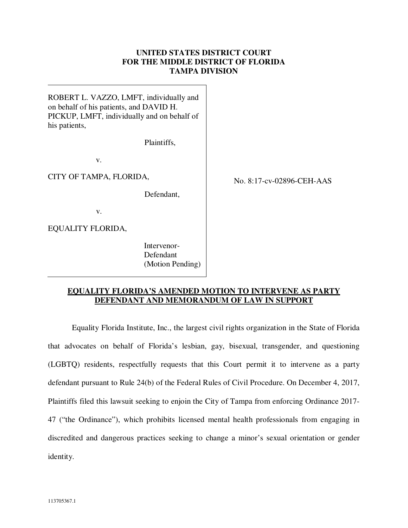## **UNITED STATES DISTRICT COURT FOR THE MIDDLE DISTRICT OF FLORIDA TAMPA DIVISION**

ROBERT L. VAZZO, LMFT, individually and on behalf of his patients, and DAVID H. PICKUP, LMFT, individually and on behalf of his patients,

Plaintiffs,

v.

CITY OF TAMPA, FLORIDA,

Defendant,

v.

EQUALITY FLORIDA,

 Intervenor- Defendant (Motion Pending) No. 8:17-cv-02896-CEH-AAS

## **EQUALITY FLORIDA'S AMENDED MOTION TO INTERVENE AS PARTY DEFENDANT AND MEMORANDUM OF LAW IN SUPPORT**

Equality Florida Institute, Inc., the largest civil rights organization in the State of Florida that advocates on behalf of Florida's lesbian, gay, bisexual, transgender, and questioning (LGBTQ) residents, respectfully requests that this Court permit it to intervene as a party defendant pursuant to Rule 24(b) of the Federal Rules of Civil Procedure. On December 4, 2017, Plaintiffs filed this lawsuit seeking to enjoin the City of Tampa from enforcing Ordinance 2017- 47 ("the Ordinance"), which prohibits licensed mental health professionals from engaging in discredited and dangerous practices seeking to change a minor's sexual orientation or gender identity.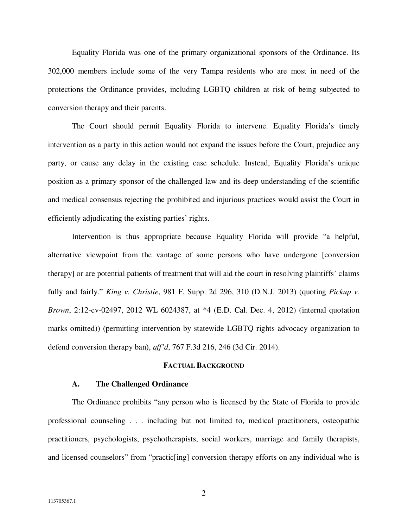Equality Florida was one of the primary organizational sponsors of the Ordinance. Its 302,000 members include some of the very Tampa residents who are most in need of the protections the Ordinance provides, including LGBTQ children at risk of being subjected to conversion therapy and their parents.

The Court should permit Equality Florida to intervene. Equality Florida's timely intervention as a party in this action would not expand the issues before the Court, prejudice any party, or cause any delay in the existing case schedule. Instead, Equality Florida's unique position as a primary sponsor of the challenged law and its deep understanding of the scientific and medical consensus rejecting the prohibited and injurious practices would assist the Court in efficiently adjudicating the existing parties' rights.

Intervention is thus appropriate because Equality Florida will provide "a helpful, alternative viewpoint from the vantage of some persons who have undergone [conversion therapy] or are potential patients of treatment that will aid the court in resolving plaintiffs' claims fully and fairly." *King v. Christie*, 981 F. Supp. 2d 296, 310 (D.N.J. 2013) (quoting *Pickup v. Brown*, 2:12-cv-02497, 2012 WL 6024387, at \*4 (E.D. Cal. Dec. 4, 2012) (internal quotation marks omitted)) (permitting intervention by statewide LGBTQ rights advocacy organization to defend conversion therapy ban), *aff'd*, 767 F.3d 216, 246 (3d Cir. 2014).

#### **FACTUAL BACKGROUND**

#### **A. The Challenged Ordinance**

The Ordinance prohibits "any person who is licensed by the State of Florida to provide professional counseling . . . including but not limited to, medical practitioners, osteopathic practitioners, psychologists, psychotherapists, social workers, marriage and family therapists, and licensed counselors" from "practic[ing] conversion therapy efforts on any individual who is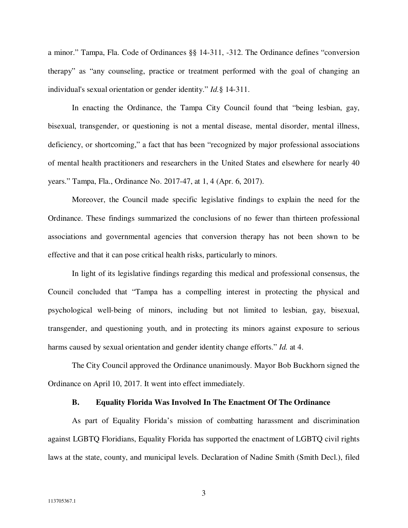a minor." Tampa, Fla. Code of Ordinances §§ 14-311, -312. The Ordinance defines "conversion therapy" as "any counseling, practice or treatment performed with the goal of changing an individual's sexual orientation or gender identity." *Id.*§ 14-311.

In enacting the Ordinance, the Tampa City Council found that "being lesbian, gay, bisexual, transgender, or questioning is not a mental disease, mental disorder, mental illness, deficiency, or shortcoming," a fact that has been "recognized by major professional associations of mental health practitioners and researchers in the United States and elsewhere for nearly 40 years." Tampa, Fla., Ordinance No. 2017-47, at 1, 4 (Apr. 6, 2017).

Moreover, the Council made specific legislative findings to explain the need for the Ordinance. These findings summarized the conclusions of no fewer than thirteen professional associations and governmental agencies that conversion therapy has not been shown to be effective and that it can pose critical health risks, particularly to minors.

 In light of its legislative findings regarding this medical and professional consensus, the Council concluded that "Tampa has a compelling interest in protecting the physical and psychological well-being of minors, including but not limited to lesbian, gay, bisexual, transgender, and questioning youth, and in protecting its minors against exposure to serious harms caused by sexual orientation and gender identity change efforts." *Id.* at 4.

 The City Council approved the Ordinance unanimously. Mayor Bob Buckhorn signed the Ordinance on April 10, 2017. It went into effect immediately.

#### **B. Equality Florida Was Involved In The Enactment Of The Ordinance**

As part of Equality Florida's mission of combatting harassment and discrimination against LGBTQ Floridians, Equality Florida has supported the enactment of LGBTQ civil rights laws at the state, county, and municipal levels. Declaration of Nadine Smith (Smith Decl.), filed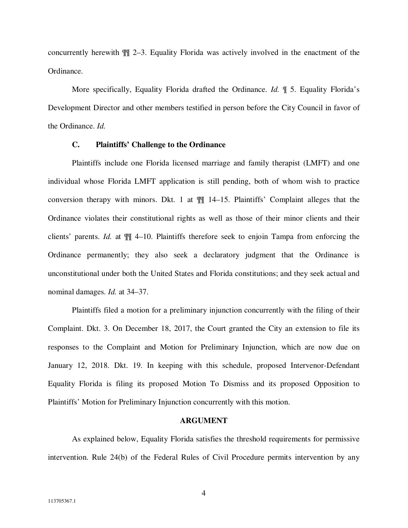concurrently herewith ¶¶ 2–3. Equality Florida was actively involved in the enactment of the Ordinance.

More specifically, Equality Florida drafted the Ordinance. *Id.* ¶ 5. Equality Florida's Development Director and other members testified in person before the City Council in favor of the Ordinance. *Id.* 

### **C. Plaintiffs' Challenge to the Ordinance**

Plaintiffs include one Florida licensed marriage and family therapist (LMFT) and one individual whose Florida LMFT application is still pending, both of whom wish to practice conversion therapy with minors. Dkt. 1 at ¶¶ 14–15. Plaintiffs' Complaint alleges that the Ordinance violates their constitutional rights as well as those of their minor clients and their clients' parents. *Id.* at ¶¶ 4–10. Plaintiffs therefore seek to enjoin Tampa from enforcing the Ordinance permanently; they also seek a declaratory judgment that the Ordinance is unconstitutional under both the United States and Florida constitutions; and they seek actual and nominal damages. *Id.* at 34–37.

Plaintiffs filed a motion for a preliminary injunction concurrently with the filing of their Complaint. Dkt. 3. On December 18, 2017, the Court granted the City an extension to file its responses to the Complaint and Motion for Preliminary Injunction, which are now due on January 12, 2018. Dkt. 19. In keeping with this schedule, proposed Intervenor-Defendant Equality Florida is filing its proposed Motion To Dismiss and its proposed Opposition to Plaintiffs' Motion for Preliminary Injunction concurrently with this motion.

#### **ARGUMENT**

 As explained below, Equality Florida satisfies the threshold requirements for permissive intervention. Rule 24(b) of the Federal Rules of Civil Procedure permits intervention by any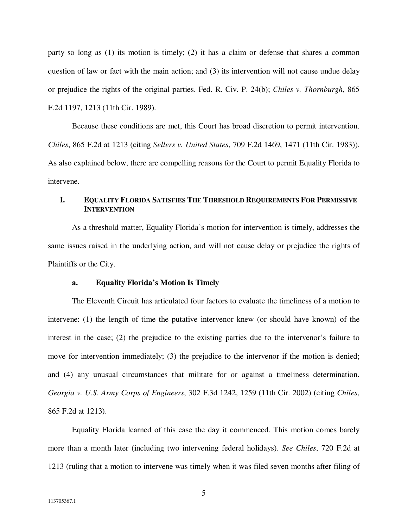party so long as (1) its motion is timely; (2) it has a claim or defense that shares a common question of law or fact with the main action; and (3) its intervention will not cause undue delay or prejudice the rights of the original parties. Fed. R. Civ. P. 24(b); *Chiles v. Thornburgh*, 865 F.2d 1197, 1213 (11th Cir. 1989).

 Because these conditions are met, this Court has broad discretion to permit intervention. *Chiles*, 865 F.2d at 1213 (citing *Sellers v. United States*, 709 F.2d 1469, 1471 (11th Cir. 1983)). As also explained below, there are compelling reasons for the Court to permit Equality Florida to intervene.

## **I. EQUALITY FLORIDA SATISFIES THE THRESHOLD REQUIREMENTS FOR PERMISSIVE INTERVENTION**

As a threshold matter, Equality Florida's motion for intervention is timely, addresses the same issues raised in the underlying action, and will not cause delay or prejudice the rights of Plaintiffs or the City.

#### **a. Equality Florida's Motion Is Timely**

The Eleventh Circuit has articulated four factors to evaluate the timeliness of a motion to intervene: (1) the length of time the putative intervenor knew (or should have known) of the interest in the case; (2) the prejudice to the existing parties due to the intervenor's failure to move for intervention immediately; (3) the prejudice to the intervenor if the motion is denied; and (4) any unusual circumstances that militate for or against a timeliness determination. *Georgia v. U.S. Army Corps of Engineers*, 302 F.3d 1242, 1259 (11th Cir. 2002) (citing *Chiles*, 865 F.2d at 1213).

Equality Florida learned of this case the day it commenced. This motion comes barely more than a month later (including two intervening federal holidays). *See Chiles*, 720 F.2d at 1213 (ruling that a motion to intervene was timely when it was filed seven months after filing of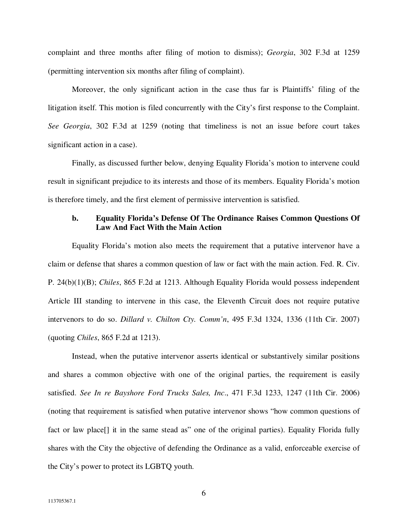complaint and three months after filing of motion to dismiss); *Georgia*, 302 F.3d at 1259 (permitting intervention six months after filing of complaint).

Moreover, the only significant action in the case thus far is Plaintiffs' filing of the litigation itself. This motion is filed concurrently with the City's first response to the Complaint. *See Georgia*, 302 F.3d at 1259 (noting that timeliness is not an issue before court takes significant action in a case).

Finally, as discussed further below, denying Equality Florida's motion to intervene could result in significant prejudice to its interests and those of its members. Equality Florida's motion is therefore timely, and the first element of permissive intervention is satisfied.

## **b. Equality Florida's Defense Of The Ordinance Raises Common Questions Of Law And Fact With the Main Action**

Equality Florida's motion also meets the requirement that a putative intervenor have a claim or defense that shares a common question of law or fact with the main action. Fed. R. Civ. P. 24(b)(1)(B); *Chiles*, 865 F.2d at 1213. Although Equality Florida would possess independent Article III standing to intervene in this case, the Eleventh Circuit does not require putative intervenors to do so. *Dillard v. Chilton Cty. Comm'n*, 495 F.3d 1324, 1336 (11th Cir. 2007) (quoting *Chiles*, 865 F.2d at 1213).

Instead, when the putative intervenor asserts identical or substantively similar positions and shares a common objective with one of the original parties, the requirement is easily satisfied. *See In re Bayshore Ford Trucks Sales, Inc*., 471 F.3d 1233, 1247 (11th Cir. 2006) (noting that requirement is satisfied when putative intervenor shows "how common questions of fact or law place<sup>[]</sup> it in the same stead as" one of the original parties). Equality Florida fully shares with the City the objective of defending the Ordinance as a valid, enforceable exercise of the City's power to protect its LGBTQ youth.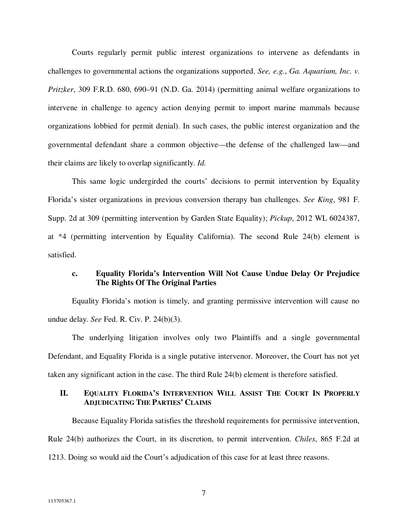Courts regularly permit public interest organizations to intervene as defendants in challenges to governmental actions the organizations supported. *See, e.g.*, *Ga. Aquarium, Inc. v. Pritzker*, 309 F.R.D. 680, 690–91 (N.D. Ga. 2014) (permitting animal welfare organizations to intervene in challenge to agency action denying permit to import marine mammals because organizations lobbied for permit denial). In such cases, the public interest organization and the governmental defendant share a common objective—the defense of the challenged law—and their claims are likely to overlap significantly. *Id.*

This same logic undergirded the courts' decisions to permit intervention by Equality Florida's sister organizations in previous conversion therapy ban challenges. *See King*, 981 F. Supp. 2d at 309 (permitting intervention by Garden State Equality); *Pickup*, 2012 WL 6024387, at \*4 (permitting intervention by Equality California). The second Rule 24(b) element is satisfied.

## **c. Equality Florida's Intervention Will Not Cause Undue Delay Or Prejudice The Rights Of The Original Parties**

Equality Florida's motion is timely, and granting permissive intervention will cause no undue delay. *See* Fed. R. Civ. P. 24(b)(3).

 The underlying litigation involves only two Plaintiffs and a single governmental Defendant, and Equality Florida is a single putative intervenor. Moreover, the Court has not yet taken any significant action in the case. The third Rule 24(b) element is therefore satisfied.

## **II. EQUALITY FLORIDA'S INTERVENTION WILL ASSIST THE COURT IN PROPERLY ADJUDICATING THE PARTIES' CLAIMS**

Because Equality Florida satisfies the threshold requirements for permissive intervention, Rule 24(b) authorizes the Court, in its discretion, to permit intervention. *Chiles*, 865 F.2d at 1213. Doing so would aid the Court's adjudication of this case for at least three reasons.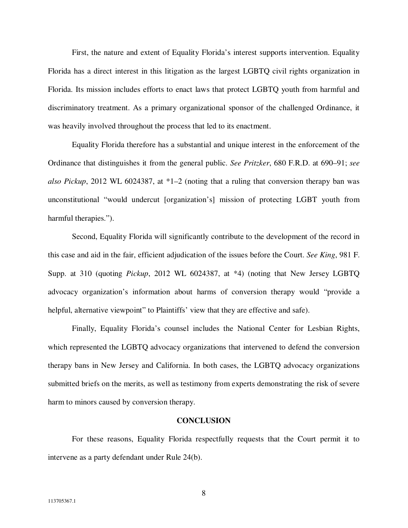First, the nature and extent of Equality Florida's interest supports intervention. Equality Florida has a direct interest in this litigation as the largest LGBTQ civil rights organization in Florida. Its mission includes efforts to enact laws that protect LGBTQ youth from harmful and discriminatory treatment. As a primary organizational sponsor of the challenged Ordinance, it was heavily involved throughout the process that led to its enactment.

Equality Florida therefore has a substantial and unique interest in the enforcement of the Ordinance that distinguishes it from the general public. *See Pritzker*, 680 F.R.D. at 690–91; *see also Pickup*, 2012 WL 6024387, at \*1–2 (noting that a ruling that conversion therapy ban was unconstitutional "would undercut [organization's] mission of protecting LGBT youth from harmful therapies.").

Second, Equality Florida will significantly contribute to the development of the record in this case and aid in the fair, efficient adjudication of the issues before the Court. *See King*, 981 F. Supp. at 310 (quoting *Pickup*, 2012 WL 6024387, at \*4) (noting that New Jersey LGBTQ advocacy organization's information about harms of conversion therapy would "provide a helpful, alternative viewpoint" to Plaintiffs' view that they are effective and safe).

Finally, Equality Florida's counsel includes the National Center for Lesbian Rights, which represented the LGBTQ advocacy organizations that intervened to defend the conversion therapy bans in New Jersey and California. In both cases, the LGBTQ advocacy organizations submitted briefs on the merits, as well as testimony from experts demonstrating the risk of severe harm to minors caused by conversion therapy.

#### **CONCLUSION**

 For these reasons, Equality Florida respectfully requests that the Court permit it to intervene as a party defendant under Rule 24(b).

8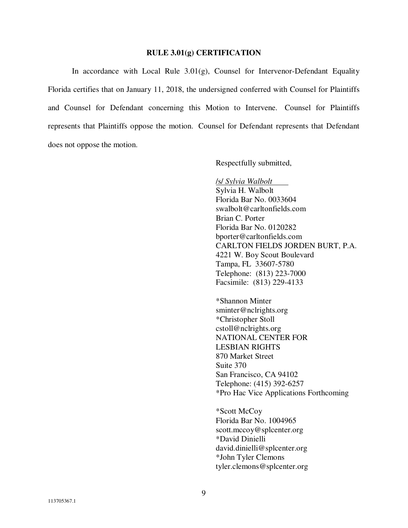#### **RULE 3.01(g) CERTIFICATION**

In accordance with Local Rule  $3.01(g)$ , Counsel for Intervenor-Defendant Equality Florida certifies that on January 11, 2018, the undersigned conferred with Counsel for Plaintiffs and Counsel for Defendant concerning this Motion to Intervene. Counsel for Plaintiffs represents that Plaintiffs oppose the motion. Counsel for Defendant represents that Defendant does not oppose the motion.

Respectfully submitted,

 /s/ *Sylvia Walbolt*  Sylvia H. Walbolt Florida Bar No. 0033604 swalbolt@carltonfields.com Brian C. Porter Florida Bar No. 0120282 bporter@carltonfields.com CARLTON FIELDS JORDEN BURT, P.A. 4221 W. Boy Scout Boulevard Tampa, FL 33607-5780 Telephone: (813) 223-7000 Facsimile: (813) 229-4133

\*Shannon Minter sminter@nclrights.org \*Christopher Stoll cstoll@nclrights.org NATIONAL CENTER FOR LESBIAN RIGHTS 870 Market Street Suite 370 San Francisco, CA 94102 Telephone: (415) 392-6257 \*Pro Hac Vice Applications Forthcoming

\*Scott McCoy Florida Bar No. 1004965 scott.mccoy@splcenter.org \*David Dinielli david.dinielli@splcenter.org \*John Tyler Clemons tyler.clemons@splcenter.org